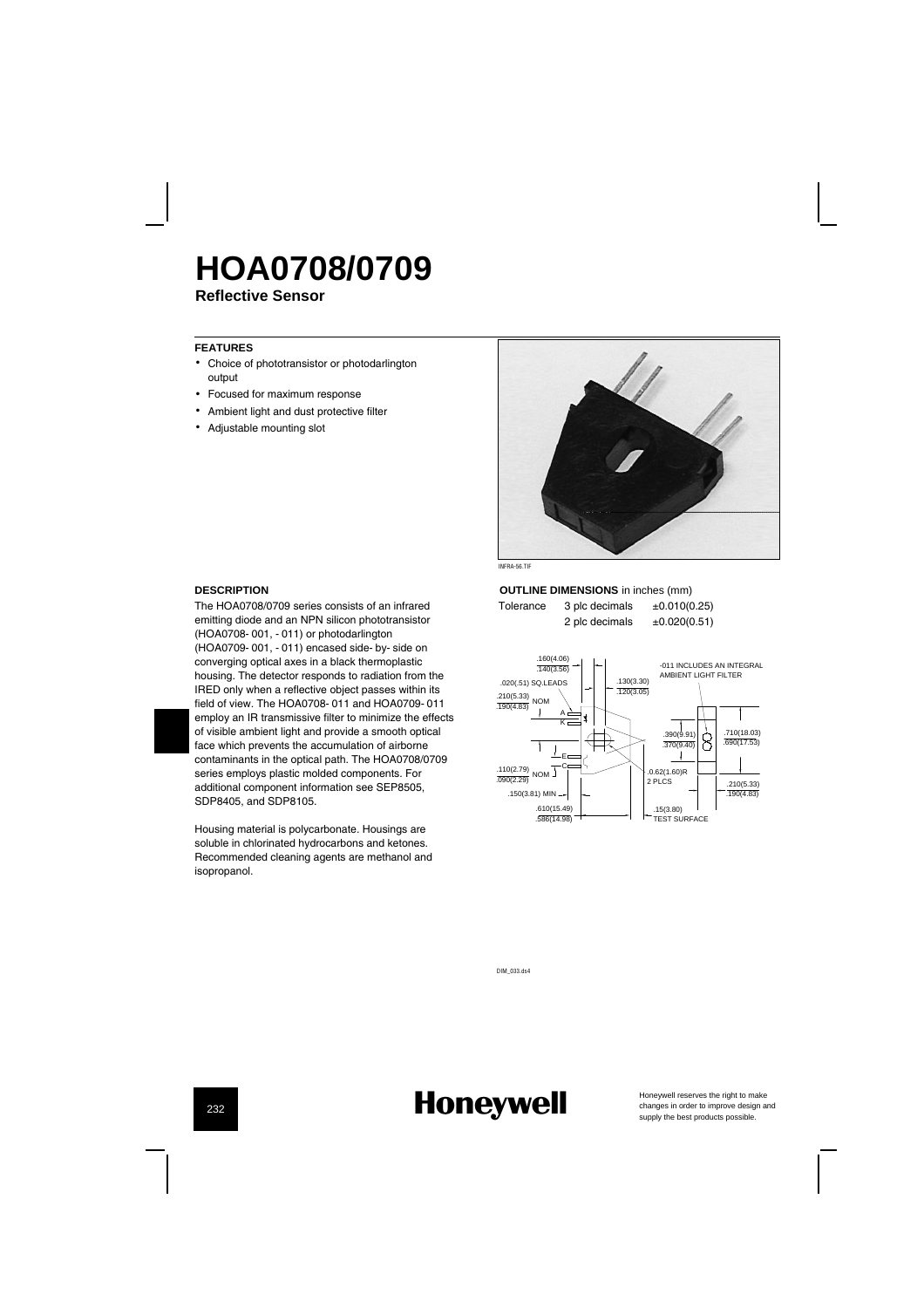## **HOA0708/0709**

**Reflective Sensor**

#### **FEATURES**

- Choice of phototransistor or photodarlington output
- Focused for maximum response
- Ambient light and dust protective filter
- Adjustable mounting slot



#### **DESCRIPTION**

The HOA0708/0709 series consists of an infrared emitting diode and an NPN silicon phototransistor (HOA0708-001, -011) or photodarlington (HOA0709-001, -011) encased side-by-side on converging optical axes in a black thermoplastic housing. The detector responds to radiation from the IRED only when a reflective object passes within its field of view. The HOA0708-011 and HOA0709-011 employ an IR transmissive filter to minimize the effects of visible ambient light and provide a smooth optical face which prevents the accumulation of airborne contaminants in the optical path. The HOA0708/0709 series employs plastic molded components. For additional component information see SEP8505, SDP8405, and SDP8105.

Housing material is polycarbonate. Housings are soluble in chlorinated hydrocarbons and ketones. Recommended cleaning agents are methanol and isopropanol.

**OUTLINE DIMENSIONS** in inches (mm) Tolerance  $3$  plc decimals  $\pm 0.010(0.25)$ 

2 plc decimals  $\pm 0.020(0.51)$ 

.160(4.06) .140(3.56) -011 INCLUDES AN INTEGRAL AMBIENT LIGHT FILTER .020(.51) SQ.LEADS .130(3.30) 120(3.05) .210(5.33) .190(4.83) NOM Ť A K .390(9.91) .710(18.03) .690(17.53) 8  $370(9)$  $\mathbf{I}$  $\overline{\phantom{a}}$ E C .0.62(1.60)R  $\frac{.110(2.79)}{.090(2.29)}$  NOM 2 PLCS .210(5.33)  $\frac{1210(0.55)}{190(4.83)}$ .150(3.81) MIN .610(15.49) .15(3.80) TEST SURFACE  $586(14.08)$ 

DIM\_033.ds4

### **Honeywell**

Honeywell reserves the right to make<br>changes in order to improve design and<br>supply the best products possible.

232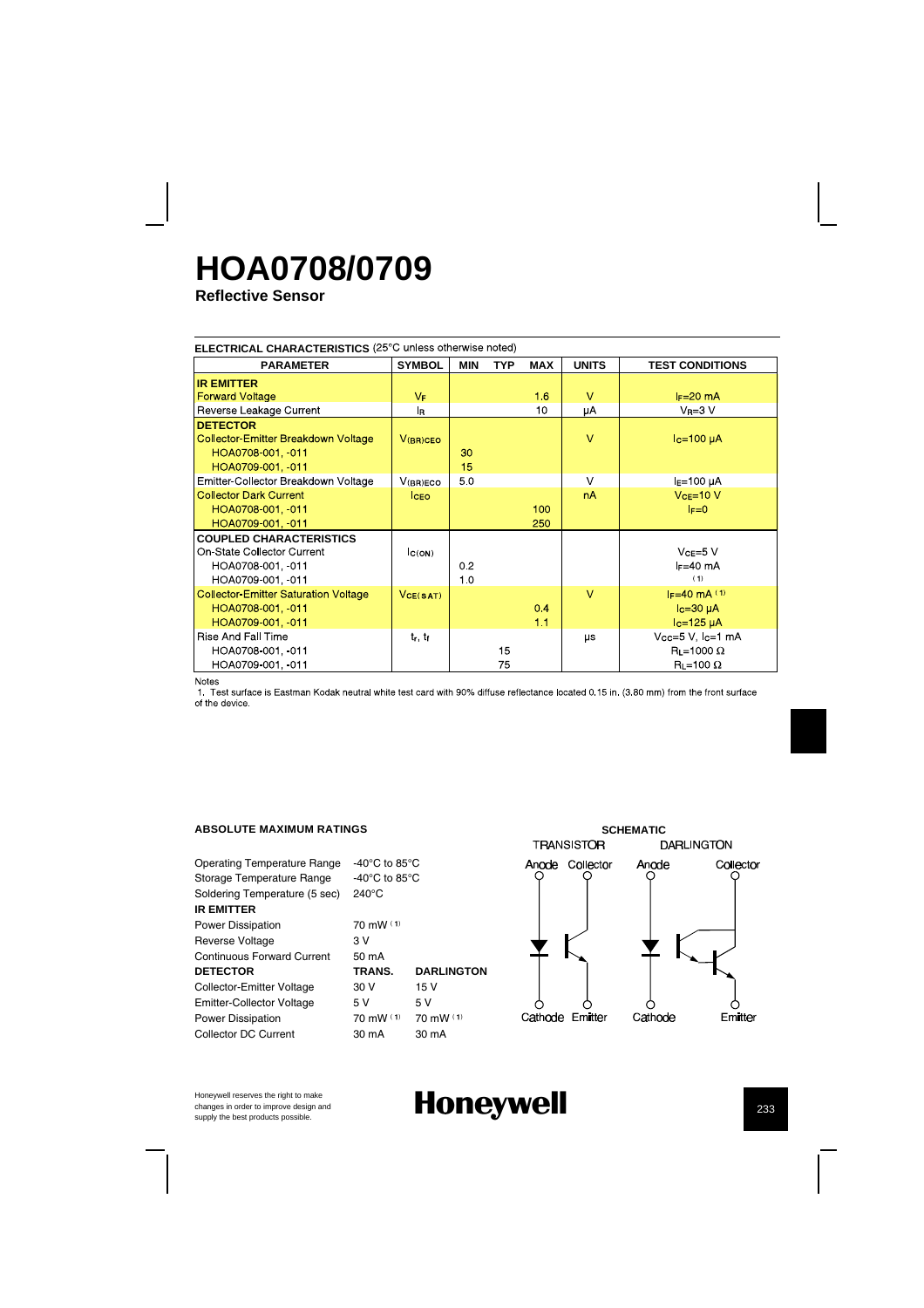## **HOA0708/0709**

**Reflective Sensor**

| ELECTRICAL CHARACTERISTICS (25°C unless otherwise noted)                                               |                |            |            |            |              |                                                                   |  |  |
|--------------------------------------------------------------------------------------------------------|----------------|------------|------------|------------|--------------|-------------------------------------------------------------------|--|--|
| <b>PARAMETER</b>                                                                                       | <b>SYMBOL</b>  | <b>MIN</b> | <b>TYP</b> | <b>MAX</b> | <b>UNITS</b> | <b>TEST CONDITIONS</b>                                            |  |  |
| <b>IR EMITTER</b>                                                                                      |                |            |            |            |              |                                                                   |  |  |
| <b>Forward Voltage</b>                                                                                 | $V_{\text{F}}$ |            |            | 16         | $\vee$       | $I_F=20$ mA                                                       |  |  |
| Reverse Leakage Current                                                                                | l <sub>R</sub> |            |            | 10         | μA           | $V_R = 3 V$                                                       |  |  |
| <b>DETECTOR</b><br><b>Collector Emitter Breakdown Voltage</b><br>HOA0708-001, 011<br>HOA0709-001, -011 | $V(BR)$ CEO    | 30<br>15   |            |            | $\vee$       | $Ic=100\muA$                                                      |  |  |
| Emitter Collector Breakdown Voltage                                                                    | V(BR)ECO       | 50         |            |            | $\vee$       | $IE=100 \mu A$                                                    |  |  |
| <b>Collector Dark Current</b><br>HOA0708-001, 011<br>HOA0709-001, 011                                  | <b>ICEO</b>    |            |            | 100<br>250 | nA           | $VCE=10 V$<br>$F=0$                                               |  |  |
| <b>COUPLED CHARACTERISTICS</b><br>On-State Collector Current<br>HOA0708-001, -011<br>HOA0709-001, -011 | C(ON)          | 0.2<br>10  |            |            |              | $VCE=5$ V<br>$F = 40$ mA<br>(1)                                   |  |  |
| <b>Collector Emitter Saturation Voltage</b><br>HOA0708-001. 011<br>HOA0709-001, 011                    | VCE(SAT)       |            |            | 0.4<br>1.1 | $\vee$       | $F = 40$ mA $(1)$<br>$lc = 30 \mu A$<br>$lc=125 \mu A$            |  |  |
| Rise And Fall Time<br>HOA0708-001, -011<br>HOA0709-001, -011<br>.                                      | $t_r$ , $t_f$  |            | 15<br>75   |            | μs           | $Vcc=5$ V, $Ic=1$ mA<br>$R_L = 1000 \Omega$<br>$R_L = 100 \Omega$ |  |  |

Notes<br>1. Test surface is Eastman Kodak neutral white test card with 90% diffuse reflectance located 0.15 in. (3.80 mm) from the front surface<br>of the device.

#### **ABSOLUTE MAXIMUM RATINGS**

| Operating Temperature Range      | -40 $^{\circ}$ C to 85 $^{\circ}$ C |                     |
|----------------------------------|-------------------------------------|---------------------|
| Storage Temperature Range        | -40 $^{\circ}$ C to 85 $^{\circ}$ C |                     |
| Soldering Temperature (5 sec)    | $240^{\circ}$ C                     |                     |
| <b>IR EMITTER</b>                |                                     |                     |
| <b>Power Dissipation</b>         | $70 \text{ mW}$ (1)                 |                     |
| <b>Reverse Voltage</b>           | 3 V                                 |                     |
| Continuous Forward Current       | $50 \text{ mA}$                     |                     |
| <b>DETECTOR</b>                  | TRANS.                              | <b>DARLINGTON</b>   |
| Collector-Emitter Voltage        | 30 V                                | 15 V                |
| <b>Emitter-Collector Voltage</b> | 5 V                                 | 5V                  |
| <b>Power Dissipation</b>         | $70 \text{ mW}$ (1)                 | $70 \text{ mW}$ (1) |
| Collector DC Current             | 30 mA                               | $30 \text{ mA}$     |
|                                  |                                     |                     |



Honeywell reserves the right to make changes in order to improve design and

### Honeywell **best products h**  $\frac{1}{233}$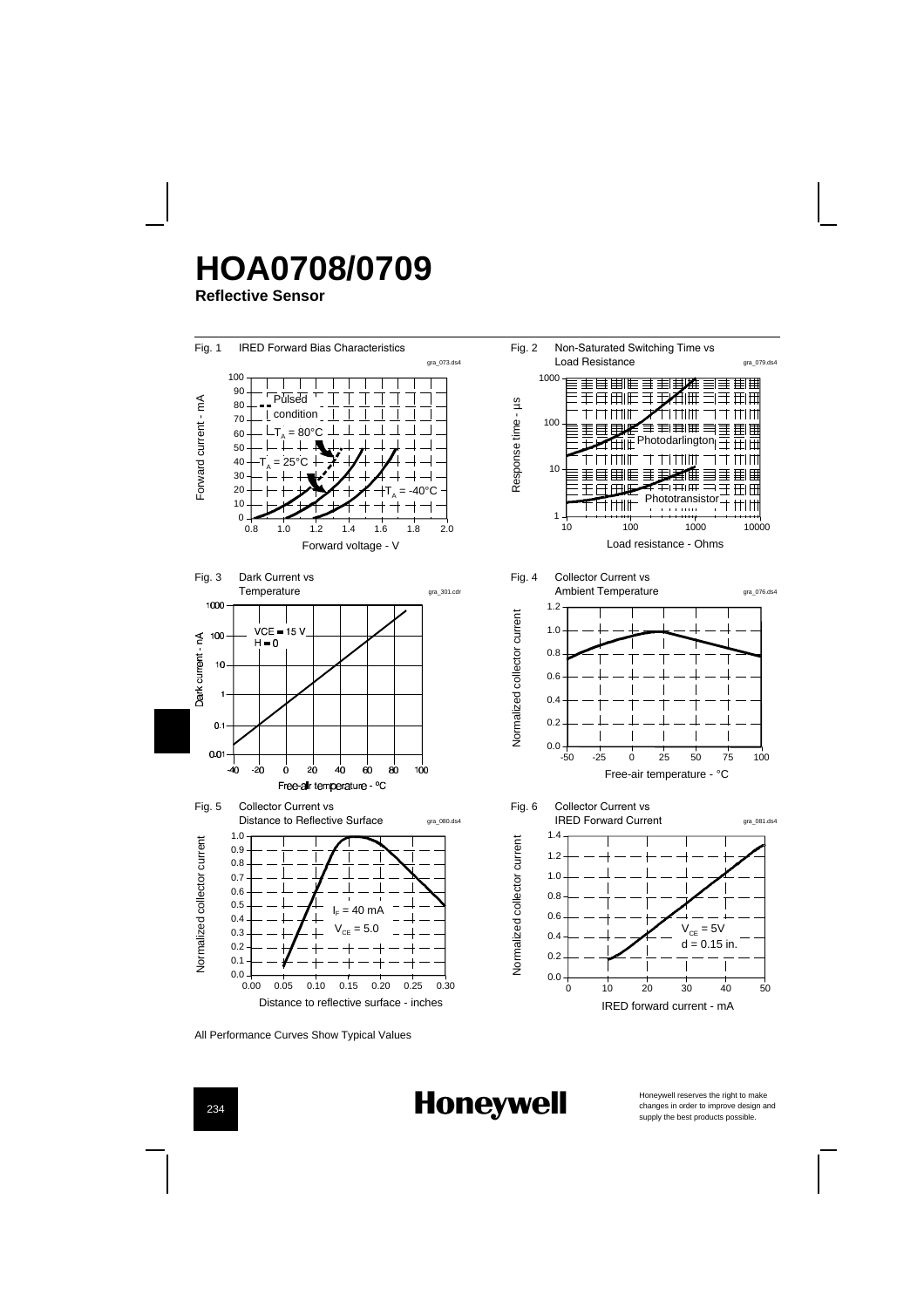# **HOA0708/0709**

**Reflective Sensor**



All Performance Curves Show Typical Values

**Honeywell** 

Honeywell reserves the right to make<br>changes in order to improve design and<br>supply the best products possible.